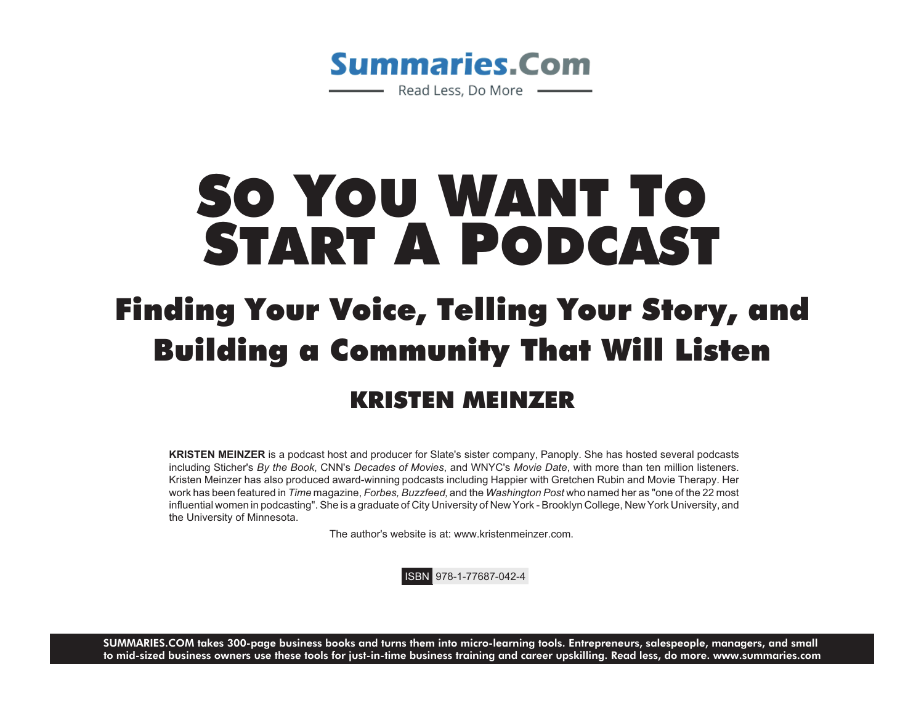

## SO YOU WANT TO START A PODCAST

## Finding Your Voice, Telling Your Story, and Building a Community That Will Listen KRISTEN MEINZER

**KRISTEN MEINZER** is a podcast host and producer for Slate's sister company, Panoply. She has hosted several podcasts including Sticher's *By the Book*, CNN's *Decades of Movies*, and WNYC's *Movie Date*, with more than ten million listeners. Kristen Meinzer has also produced award-winning podcasts including Happier with Gretchen Rubin and Movie Therapy. Her work has been featured in *Time* magazine, *Forbes, Buzzfeed,* and the *Washington Post* who named her as "one of the 22 most influential women in podcasting". She is a graduate of City University of New York - Brooklyn College, New York University, and the University of Minnesota.

The author's website is at: www.kristenmeinzer.com.

ISBN 978-1-77687-042-4

**SUMMARIES.COM** takes 300-page business books and turns them into micro-learning tools. Entrepreneurs, salespeople, managers, and small to mid-sized business owners use these tools for just-in-time business training and career upskilling. Read less, do more. www.summaries.com